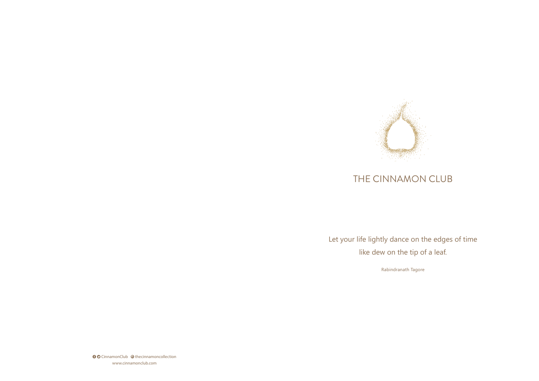Let your life lightly dance on the edges of time like dew on the tip of a leaf.

**O** CinnamonClub @ thecinnamoncollection www.cinnamonclub.com

Rabindranath Tagore



# THE CINNAMON CLUB